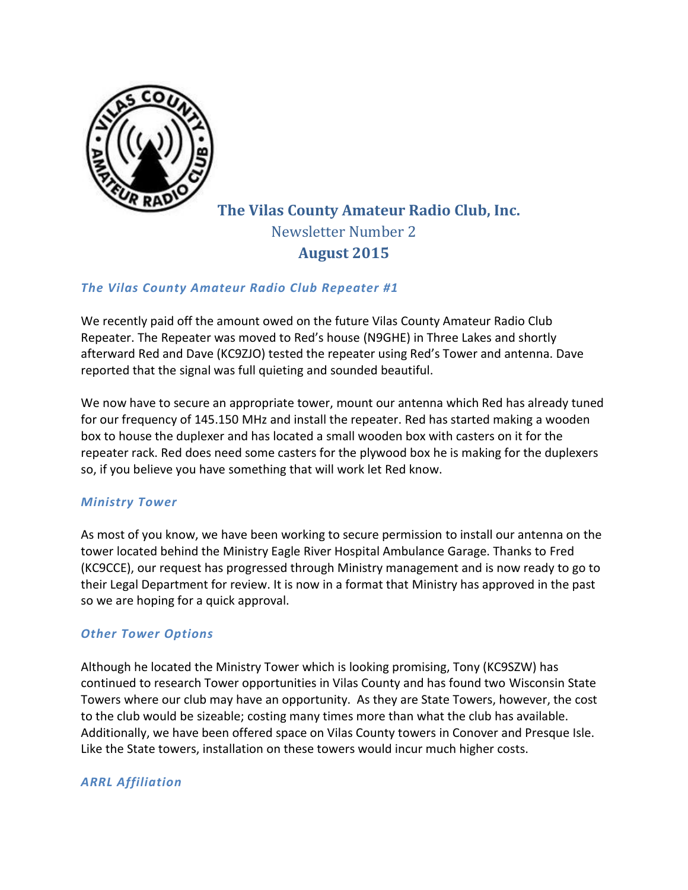

# **The Vilas County Amateur Radio Club, Inc.** Newsletter Number 2 **August 2015**

# *The Vilas County Amateur Radio Club Repeater #1*

We recently paid off the amount owed on the future Vilas County Amateur Radio Club Repeater. The Repeater was moved to Red's house (N9GHE) in Three Lakes and shortly afterward Red and Dave (KC9ZJO) tested the repeater using Red's Tower and antenna. Dave reported that the signal was full quieting and sounded beautiful.

We now have to secure an appropriate tower, mount our antenna which Red has already tuned for our frequency of 145.150 MHz and install the repeater. Red has started making a wooden box to house the duplexer and has located a small wooden box with casters on it for the repeater rack. Red does need some casters for the plywood box he is making for the duplexers so, if you believe you have something that will work let Red know.

#### *Ministry Tower*

As most of you know, we have been working to secure permission to install our antenna on the tower located behind the Ministry Eagle River Hospital Ambulance Garage. Thanks to Fred (KC9CCE), our request has progressed through Ministry management and is now ready to go to their Legal Department for review. It is now in a format that Ministry has approved in the past so we are hoping for a quick approval.

# *Other Tower Options*

Although he located the Ministry Tower which is looking promising, Tony (KC9SZW) has continued to research Tower opportunities in Vilas County and has found two Wisconsin State Towers where our club may have an opportunity. As they are State Towers, however, the cost to the club would be sizeable; costing many times more than what the club has available. Additionally, we have been offered space on Vilas County towers in Conover and Presque Isle. Like the State towers, installation on these towers would incur much higher costs.

# *ARRL Affiliation*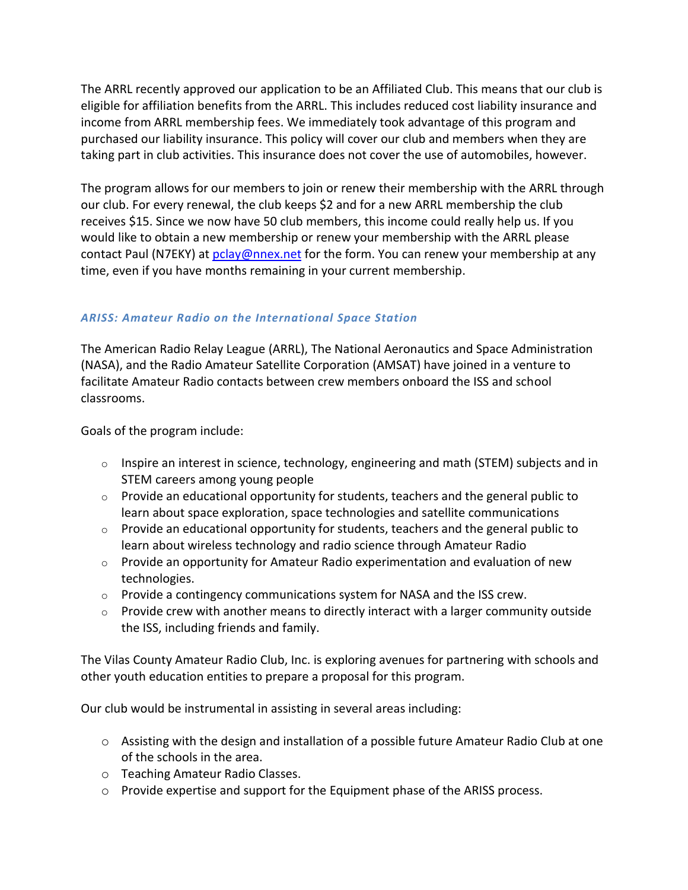The ARRL recently approved our application to be an Affiliated Club. This means that our club is eligible for affiliation benefits from the ARRL. This includes reduced cost liability insurance and income from ARRL membership fees. We immediately took advantage of this program and purchased our liability insurance. This policy will cover our club and members when they are taking part in club activities. This insurance does not cover the use of automobiles, however.

The program allows for our members to join or renew their membership with the ARRL through our club. For every renewal, the club keeps \$2 and for a new ARRL membership the club receives \$15. Since we now have 50 club members, this income could really help us. If you would like to obtain a new membership or renew your membership with the ARRL please contact Paul (N7EKY) at [pclay@nnex.net](mailto:pclay@nnex.net) for the form. You can renew your membership at any time, even if you have months remaining in your current membership.

# *ARISS: Amateur Radio on the International Space Station*

The American Radio Relay League (ARRL), The National Aeronautics and Space Administration (NASA), and the Radio Amateur Satellite Corporation (AMSAT) have joined in a venture to facilitate Amateur Radio contacts between crew members onboard the ISS and school classrooms.

Goals of the program include:

- $\circ$  Inspire an interest in science, technology, engineering and math (STEM) subjects and in STEM careers among young people
- $\circ$  Provide an educational opportunity for students, teachers and the general public to learn about space exploration, space technologies and satellite communications
- $\circ$  Provide an educational opportunity for students, teachers and the general public to learn about wireless technology and radio science through Amateur Radio
- $\circ$  Provide an opportunity for Amateur Radio experimentation and evaluation of new technologies.
- $\circ$  Provide a contingency communications system for NASA and the ISS crew.
- o Provide crew with another means to directly interact with a larger community outside the ISS, including friends and family.

The Vilas County Amateur Radio Club, Inc. is exploring avenues for partnering with schools and other youth education entities to prepare a proposal for this program.

Our club would be instrumental in assisting in several areas including:

- $\circ$  Assisting with the design and installation of a possible future Amateur Radio Club at one of the schools in the area.
- o Teaching Amateur Radio Classes.
- o Provide expertise and support for the Equipment phase of the ARISS process.